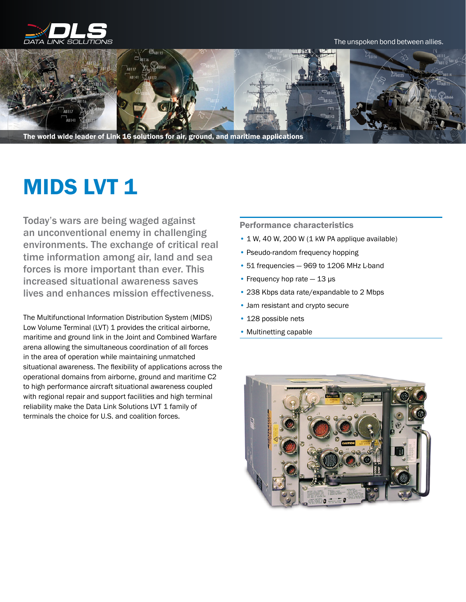

#### The unspoken bond between allies.



The world wide leader of Link 16 solutions for air, ground, and maritime applications

# **MIDS LVT 1**

Today's wars are being waged against an unconventional enemy in challenging environments. The exchange of critical real time information among air, land and sea forces is more important than ever. This increased situational awareness saves lives and enhances mission effectiveness.

The MultifunctionaI Information Distribution System (MIDS) Low Volume Terminal (LVT) 1 provides the critical airborne, maritime and ground link in the Joint and Combined Warfare arena allowing the simultaneous coordination of all forces in the area of operation while maintaining unmatched situational awareness. The flexibility of applications across the operational domains from airborne, ground and maritime C2 to high performance aircraft situational awareness coupled with regional repair and support facilities and high terminal reliability make the Data Link Solutions LVT 1 family of terminals the choice for U.S. and coalition forces.

## Performance characteristics

- 1 W, 40 W, 200 W (1 kW PA applique available)
- Pseudo-random frequency hopping
- 51 frequencies 969 to 1206 MHz L-band
- Frequency hop rate  $-13 \,\mathrm{\mu s}$
- 238 Kbps data rate/expandable to 2 Mbps
- Jam resistant and crypto secure
- 128 possible nets
- Multinetting capable